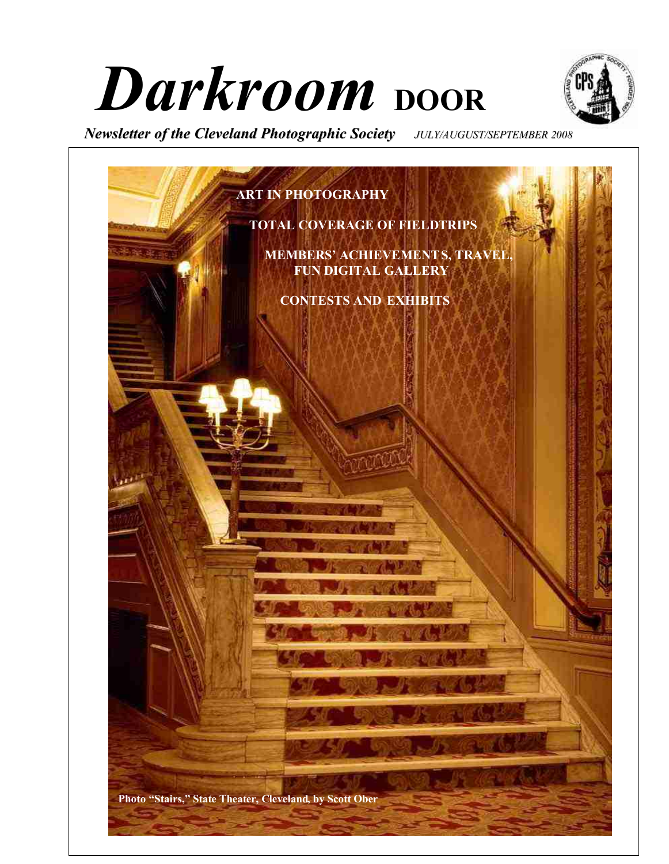# Darkroom **boor**



*Newsletter of the Cleveland Photographic Society JULY/AUGUST/SEPTEMBER 2008*

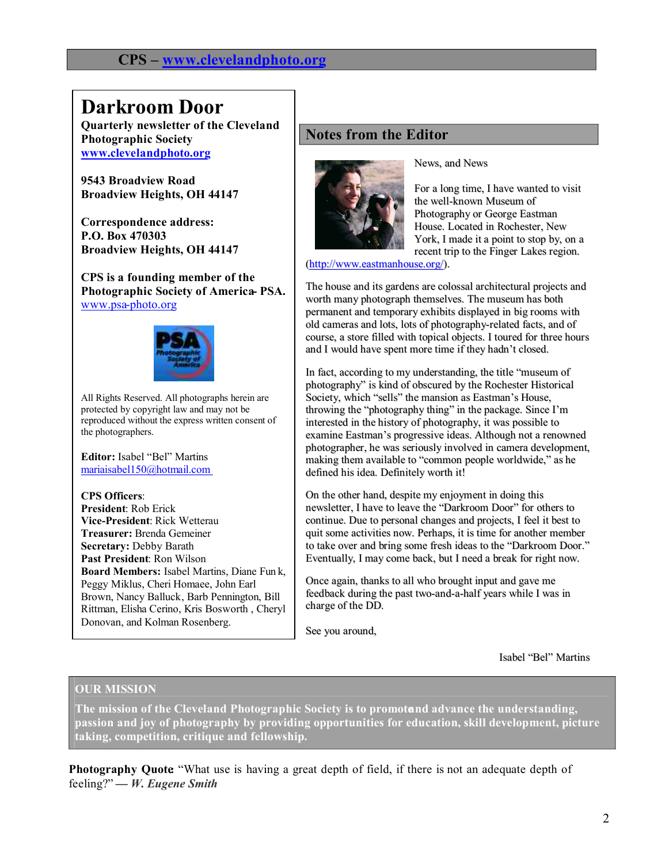#### **CPS – www.clevelandphoto.org**

# **Darkroom Door**

**Quarterly newsletter of the Cleveland Photographic Society www.clevelandphoto.org**

**9543 Broadview Road Broadview Heights, OH 44147**

**Correspondence address: P.O. Box 470303 Broadview Heights, OH 44147**

**CPS is a founding member of the**  Photographic Society of America PSA. www.psa-photo.org



All Rights Reserved. All photographs herein are protected by copyright law and may not be reproduced without the express written consent of the photographers.

**Editor:** Isabel "Bel" Martins mariaisabel150@hotmail.com

**CPS Officers**: **President**: Rob Erick **Vice-President**: Rick Wetterau **Treasurer:** Brenda Gemeiner **Secretary:** Debby Barath **Past President**: Ron Wilson **Board Members:** Isabel Martins, Diane Fun k, Peggy Miklus, Cheri Homaee, John Earl Brown, Nancy Balluck, Barb Pennington, Bill Rittman, Elisha Cerino, Kris Bosworth , Cheryl Donovan, and Kolman Rosenberg.

#### **Notes from the Editor**



News, and News

For a long time, I have wanted to visit the well-known Museum of Photography or George Eastman House. Located in Rochester, New York, I made it a point to stop by, on a recent trip to the Finger Lakes region.

(http://www.eastmanhouse.org/).

The house and its gardens are colossal architectural projects and worth many photograph themselves. The museum has both permanent and temporary exhibits displayed in big rooms with old cameras and lots, lots of photography-related facts, and of course, a store filled with topical objects. I toured for three hours and I would have spent more time if they hadn't closed.

In fact, according to my understanding, the title "museum of photography" is kind of obscured by the Rochester Historical Society, which "sells" the mansion as Eastman's House, throwing the "photography thing" in the package. Since I'm interested in the history of photography, it was possible to examine Eastman's progressive ideas. Although not a renowned photographer, he was seriously involved in camera development, making them available to "common people worldwide," as he defined his idea. Definitely worth it!

On the other hand, despite my enjoyment in doing this newsletter, I have to leave the "Darkroom Door" for others to continue. Due to personal changes and projects, I feel it best to quit some activities now. Perhaps, it is time for another member to take over and bring some fresh ideas to the "Darkroom Door." Eventually, I may come back, but I need a break for right now.

Once again, thanks to all who brought input and gave me feedback during the past two-and-a-half years while I was in charge of the DD.

See you around,

Isabel "Bel" Martins

#### **OUR MISSION**

**The mission of the Cleveland Photographic Society is to promoteand advance the understanding, passion and joy of photography by providing opportunities for education, skill development, picture taking, competition, critique and fellowship.**

**Photography Quote** "What use is having a great depth of field, if there is not an adequate depth of feeling?" **—** *W. Eugene Smith*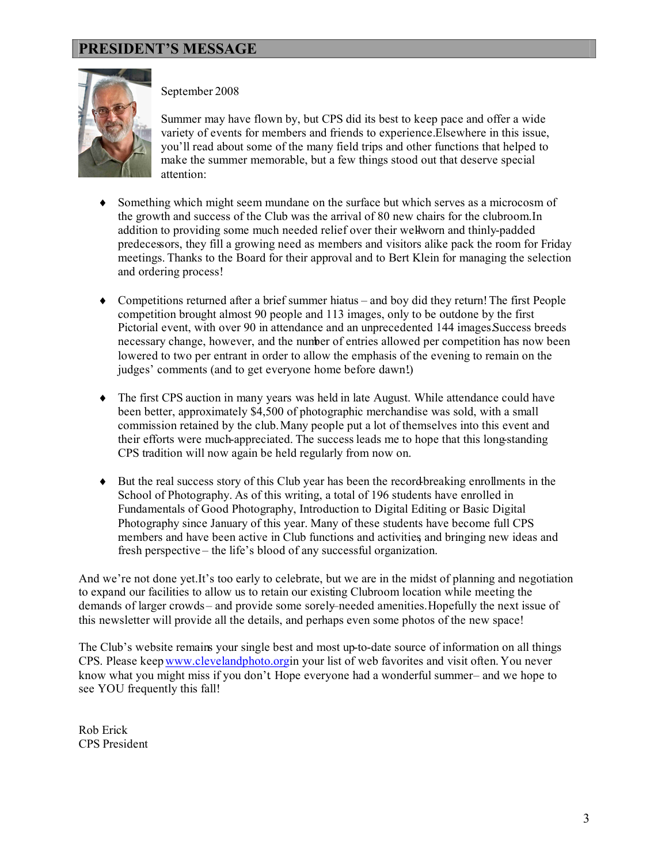

#### September 2008

Summer may have flown by, but CPS did its best to keep pace and offer a wide variety of events for members and friends to experience.Elsewhere in this issue, you'll read about some of the many field trips and other functions that helped to make the summer memorable, but a few things stood out that deserve special attention:

- Something which might seem mundane on the surface but which serves as a microcosm of the growth and success of the Club was the arrival of 80 new chairs for the clubroom.In addition to providing some much needed relief over their wellworn and thinly-padded predecessors, they fill a growing need as members and visitors alike pack the room for Friday meetings. Thanks to the Board for their approval and to Bert Klein for managing the selection and ordering process!
- Competitions returned after a brief summer hiatus and boy did they return! The first People competition brought almost 90 people and 113 images, only to be outdone by the first Pictorial event, with over 90 in attendance and an unprecedented 144 images.Success breeds necessary change, however, and the number of entries allowed per competition has now been lowered to two per entrant in order to allow the emphasis of the evening to remain on the judges' comments (and to get everyone home before dawn!.)
- The first CPS auction in many years was held in late August. While attendance could have been better, approximately \$4,500 of photographic merchandise was sold, with a small commission retained by the club.Many people put a lot of themselves into this event and their efforts were much-appreciated. The successleads me to hope that this long-standing CPS tradition will now again be held regularly from now on.
- But the real success story of this Club year has been the record-breaking enrollments in the School of Photography. As of this writing, a total of 196 students have enrolled in Fundamentals of Good Photography, Introduction to Digital Editing or Basic Digital Photography since January of this year. Many of these students have become full CPS members and have been active in Club functions and activities and bringing new ideas and fresh perspective – the life's blood of any successful organization.

And we're not done yet.It's too early to celebrate, but we are in the midst of planning and negotiation to expand our facilities to allow us to retain our existing Clubroom location while meeting the demands of larger crowds – and provide some sorely–needed amenities.Hopefully the next issue of this newsletter will provide all the details, and perhaps even some photos of the new space!

The Club's website remains your single best and most up-to-date source of information on all things CPS. Please keepwww.clevelandphoto.orgin your list of web favorites and visit often. You never know what you might miss if you don't Hope everyone had a wonderful summer- and we hope to see YOU frequently this fall!

Rob Erick CPS President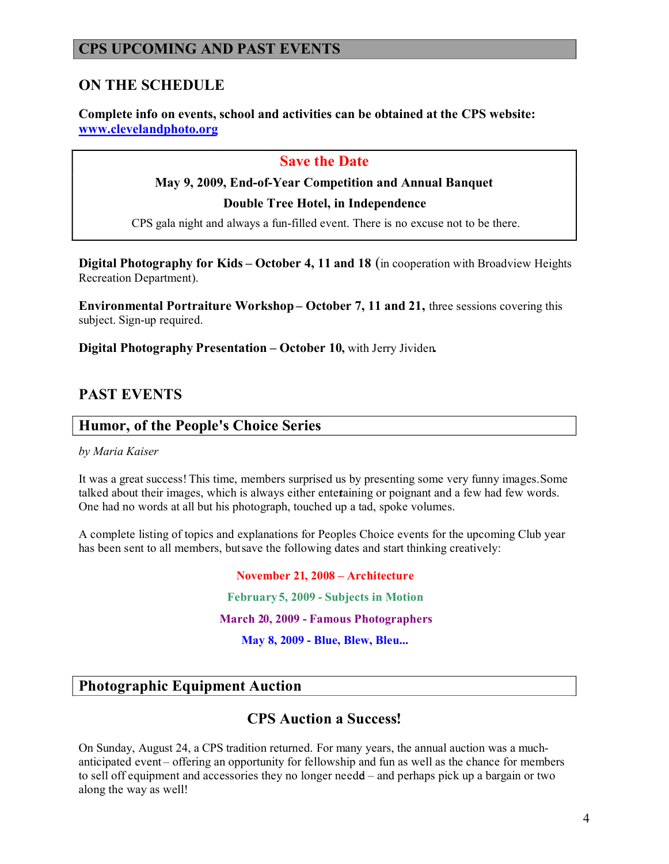#### **CPS UPCOMING AND PAST EVENTS**

#### **ON THE SCHEDULE**

**Complete info on events, school and activities can be obtained at the CPS website: www.clevelandphoto.org**

#### **Save the Date**

#### **May 9, 2009, End-of-Year Competition and Annual Banquet**

**Double Tree Hotel, in Independence**

CPS gala night and always a fun-filled event. There is no excuse not to be there.

**Digital Photography for Kids – October 4, 11 and 18** (in cooperation with Broadview Heights Recreation Department).

**Environmental Portraiture Workshop – October 7, 11 and 21,** three sessions covering this subject. Sign-up required.

**Digital Photography Presentation – October 10,** with Jerry Jividen**.** 

#### **PAST EVENTS**

#### **Humor, of the People's Choice Series**

#### *by Maria Kaiser*

It was a great success! This time, members surprised us by presenting some very funny images.Some talked about their images, which is always either entertaining or poignant and a few had few words. One had no words at all but his photograph, touched up a tad, spoke volumes.

A complete listing of topics and explanations for Peoples Choice events for the upcoming Club year has been sent to all members, butsave the following dates and start thinking creatively:

# **November 21, 2008 – Architecture February 5, 2009 - Subjects in Motion March 20, 2009 - Famous Photographers May 8, 2009 - Blue, Blew, Bleu...**

#### **Photographic Equipment Auction**

#### **CPS Auction a Success!**

On Sunday, August 24, a CPS tradition returned. For many years, the annual auction was a muchanticipated event – offering an opportunity for fellowship and fun as well as the chance for members to sell off equipment and accessories they no longer needd – and perhaps pick up a bargain or two along the way as well!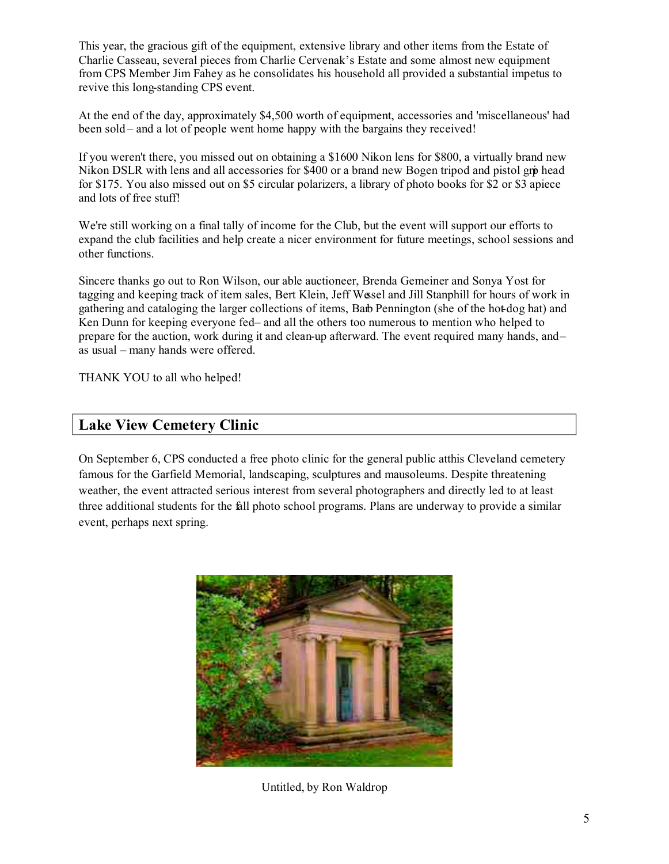This year, the gracious gift of the equipment, extensive library and other items from the Estate of Charlie Casseau, several pieces from Charlie Cervenak's Estate and some almost new equipment from CPS Member Jim Fahey as he consolidates his household all provided a substantial impetus to revive this long-standing CPS event.

At the end of the day, approximately \$4,500 worth of equipment, accessories and 'miscellaneous' had been sold – and a lot of people went home happy with the bargains they received!

If you weren't there, you missed out on obtaining a \$1600 Nikon lens for \$800, a virtually brand new Nikon DSLR with lens and all accessories for \$400 or a brand new Bogen tripod and pistol grip head for \$175. You also missed out on \$5 circular polarizers, a library of photo books for \$2 or \$3 apiece and lots of free stuff!

We're still working on a final tally of income for the Club, but the event will support our efforts to expand the club facilities and help create a nicer environment for future meetings, school sessions and other functions.

Sincere thanks go out to Ron Wilson, our able auctioneer, Brenda Gemeiner and Sonya Yost for tagging and keeping track of item sales, Bert Klein, Jeff Wessel and Jill Stanphill for hours of work in gathering and cataloging the larger collections of items, Barb Pennington (she of the hot-dog hat) and Ken Dunn for keeping everyone fed- and all the others too numerous to mention who helped to prepare for the auction, work during it and clean-up afterward. The event required many hands, and – as usual – many hands were offered.

THANK YOU to all who helped!

#### **Lake View Cemetery Clinic**

On September 6, CPS conducted a free photo clinic for the general public at this Cleveland cemetery famous for the Garfield Memorial, landscaping, sculptures and mausoleums. Despite threatening weather, the event attracted serious interest from several photographers and directly led to at least three additional students for the fall photo school programs. Plans are underway to provide a similar event, perhaps next spring.



Untitled, by Ron Waldrop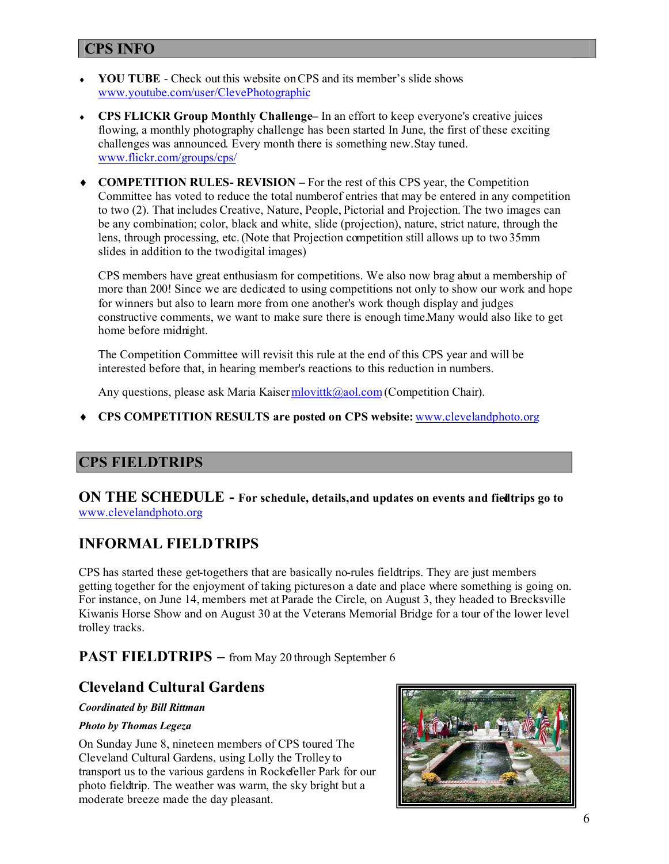#### **CPS INFO**

- **YOU TUBE** Check out this website on CPS and its member's slide shows www.youtube.com/user/ClevePhotographic
- **CPS FLICKR Group Monthly Challenge–** In an effort to keep everyone's creative juices flowing, a monthly photography challenge has been started In June, the first of these exciting challenges was announced. Every month there is something new. Stay tuned. www.flickr.com/groups/cps/
- **COMPETITION RULES- REVISION –** For the rest of this CPS year, the Competition Committee has voted to reduce the total numberof entries that may be entered in any competition to two (2). That includes Creative, Nature, People, Pictorial and Projection. The two images can be any combination; color, black and white, slide (projection), nature, strict nature, through the lens, through processing, etc.(Note that Projection competition still allows up to two 35mm slides in addition to the twodigital images)

CPS members have great enthusiasm for competitions. We also now brag about a membership of more than 200! Since we are dedicated to using competitions not only to show our work and hope for winners but also to learn more from one another's work though display and judges constructive comments, we want to make sure there is enough time.Many would also like to get home before midnight.

The Competition Committee will revisit this rule at the end of this CPS year and will be interested before that, in hearing member's reactions to this reduction in numbers.

Any questions, please ask Maria Kaiser mlovittk@aol.com (Competition Chair).

**CPS COMPETITION RESULTS are posted on CPS website:** www.clevelandphoto.org

# **CPS FIELDTRIPS**

**ON THE SCHEDULE** - For schedule, details, and updates on events and fiedlirips go to www.clevelandphoto.org.

# **INFORMAL FIELDTRIPS**

CPS has started these get-togethers that are basically no-rules fieldtrips. They are just members getting together for the enjoyment of taking pictureson a date and place where something is going on. For instance, on June 14, members met at Parade the Circle, on August 3, they headed to Brecksville Kiwanis Horse Show and on August 30 at the Veterans Memorial Bridge for a tour of the lower level trolley tracks.

#### **PAST FIELDTRIPS** – from May 20 through September 6

#### **Cleveland Cultural Gardens**

#### *Coordinated by Bill Rittman*

#### *Photo by Thomas Legeza*

On Sunday June 8, nineteen members of CPS toured The Cleveland Cultural Gardens, using Lolly the Trolley to transport us to the various gardens in Rockefeller Park for our photo fieldtrip. The weather was warm, the sky bright but a moderate breeze made the day pleasant.

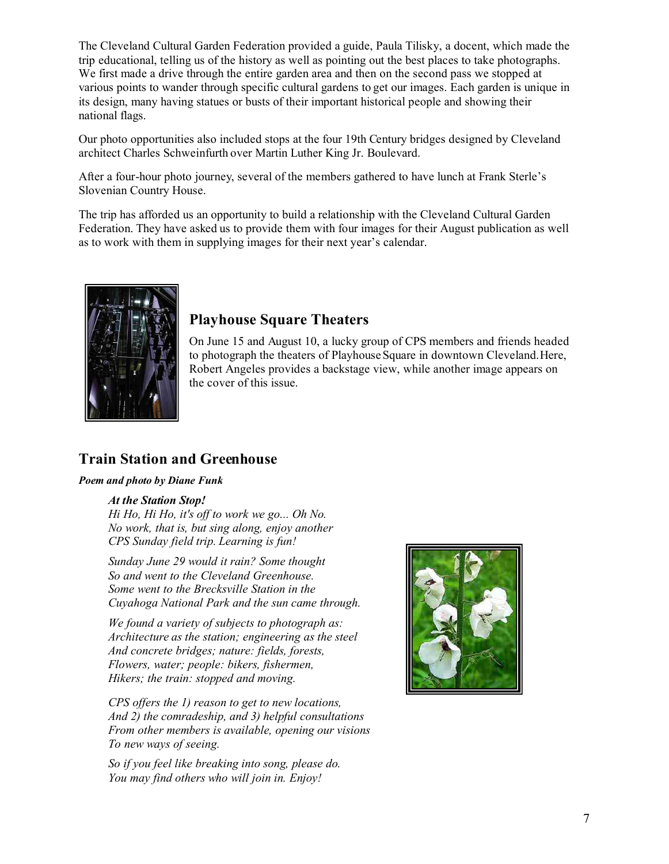The Cleveland Cultural Garden Federation provided a guide, Paula Tilisky, a docent, which made the trip educational, telling us of the history as well as pointing out the best places to take photographs. We first made a drive through the entire garden area and then on the second pass we stopped at various points to wander through specific cultural gardens to get our images. Each garden is unique in its design, many having statues or busts of their important historical people and showing their national flags.

Our photo opportunities also included stops at the four 19th Century bridges designed by Cleveland architect Charles Schweinfurth over Martin Luther King Jr. Boulevard.

After a four-hour photo journey, several of the members gathered to have lunch at Frank Sterle's Slovenian Country House.

The trip has afforded us an opportunity to build a relationship with the Cleveland Cultural Garden Federation. They have asked us to provide them with four images for their August publication as well as to work with them in supplying images for their next year's calendar.



#### **Playhouse Square Theaters**

On June 15 and August 10, a lucky group of CPS members and friends headed to photograph the theaters of Playhouse Square in downtown Cleveland.Here, Robert Angeles provides a backstage view, while another image appears on the cover of this issue.

#### **Train Station and Greenhouse**

#### *Poem and photo by Diane Funk*

#### *At the Station Stop!*

*Hi Ho, Hi Ho, it's off to work we go... Oh No. No work, that is, but sing along, enjoy another CPS Sunday field trip. Learning is fun!*

*Sunday June 29 would it rain? Some thought So and went to the Cleveland Greenhouse. Some went to the Brecksville Station in the Cuyahoga National Park and the sun came through.*

*We found a variety of subjects to photograph as: Architecture as the station; engineering as the steel And concrete bridges; nature: fields, forests, Flowers, water; people: bikers, fishermen, Hikers; the train: stopped and moving.*

*CPS offers the 1) reason to get to new locations, And 2) the comradeship, and 3) helpful consultations From other members is available, opening our visions To new ways of seeing.*

*So if you feel like breaking into song, please do. You may find others who will join in. Enjoy!*

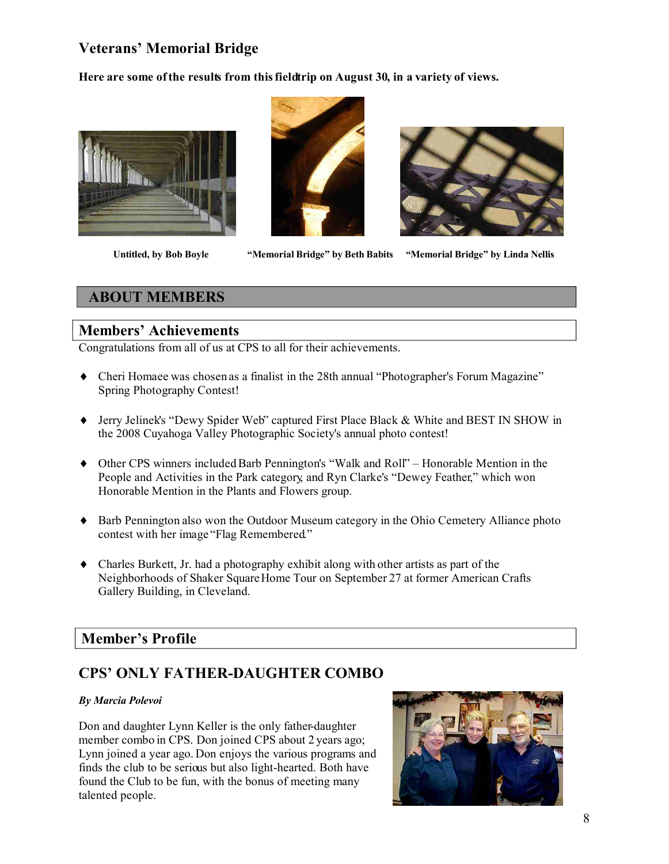# **Veterans' Memorial Bridge**

**Here are some ofthe results from thisfieldtrip on August 30, in a variety of views.**







 **Untitled, by Bob Boyle "Memorial Bridge" by Beth Babits "Memorial Bridge" by Linda Nellis**

#### **ABOUT MEMBERS**

#### **Members' Achievements**

Congratulations from all of us at CPS to all for their achievements.

- Cheri Homaee was chosen as a finalist in the 28th annual "Photographer's Forum Magazine" Spring Photography Contest!
- Jerry Jelinek's "Dewy Spider Web" captured First Place Black & White and BEST IN SHOW in the 2008 Cuyahoga Valley Photographic Society's annual photo contest!
- Other CPS winners included Barb Pennington's "Walk and Roll" Honorable Mention in the People and Activities in the Park category, and Ryn Clarke's "Dewey Feather," which won Honorable Mention in the Plants and Flowers group.
- Barb Pennington also won the Outdoor Museum category in the Ohio Cemetery Alliance photo contest with her image "Flag Remembered."
- Charles Burkett, Jr. had a photography exhibit along with other artists as part of the Neighborhoods of Shaker Square Home Tour on September 27 at former American Crafts Gallery Building, in Cleveland.

#### **Member's Profile**

# **CPS' ONLY FATHER-DAUGHTER COMBO**

#### *By Marcia Polevoi*

Don and daughter Lynn Keller is the only father-daughter member combo in CPS. Don joined CPS about 2 years ago; Lynn joined a year ago. Don enjoys the various programs and finds the club to be serious but also light-hearted. Both have found the Club to be fun, with the bonus of meeting many talented people.

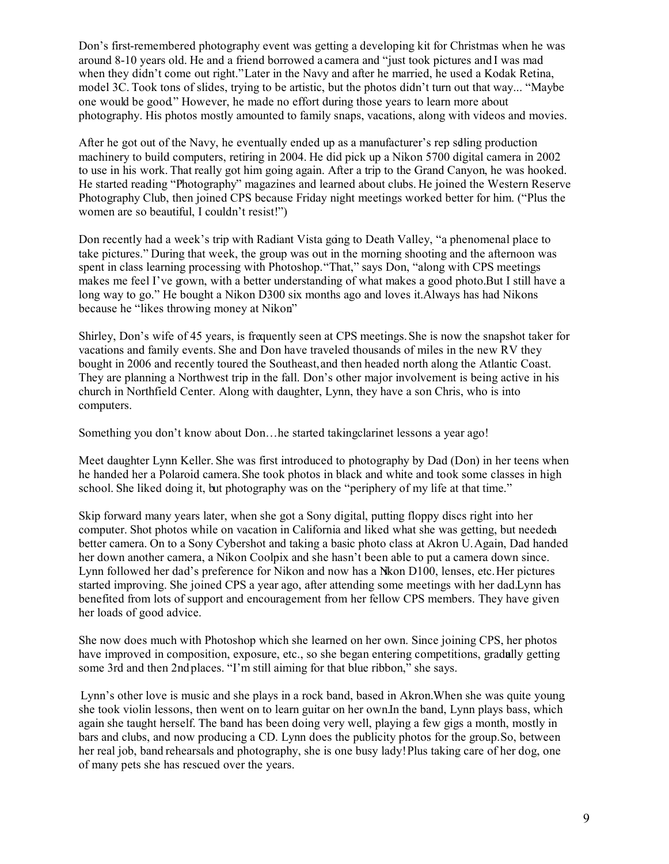Don's first-remembered photography event was getting a developing kit for Christmas when he was around 8-10 years old. He and a friend borrowed a camera and "just took pictures and I was mad when they didn't come out right."Later in the Navy and after he married, he used a Kodak Retina, model 3C. Took tons of slides, trying to be artistic, but the photos didn't turn out that way... "Maybe one would be good." However, he made no effort during those years to learn more about photography. His photos mostly amounted to family snaps, vacations, along with videos and movies.

After he got out of the Navy, he eventually ended up as a manufacturer's rep selling production machinery to build computers, retiring in 2004. He did pick up a Nikon 5700 digital camera in 2002 to use in his work. That really got him going again. After a trip to the Grand Canyon, he was hooked. He started reading "Photography" magazines and learned about clubs. He joined the Western Reserve Photography Club, then joined CPS because Friday night meetings worked better for him. ("Plus the women are so beautiful, I couldn't resist!")

Don recently had a week's trip with Radiant Vista going to Death Valley, "a phenomenal place to take pictures." During that week, the group was out in the morning shooting and the afternoon was spent in class learning processing with Photoshop."That," says Don, "along with CPS meetings makes me feel I've grown, with a better understanding of what makes a good photo.But I still have a long way to go." He bought a Nikon D300 six months ago and loves it.Always has had Nikons because he "likes throwing money at Nikon"

Shirley, Don's wife of 45 years, is frequently seen at CPS meetings.She is now the snapshot taker for vacations and family events. She and Don have traveled thousands of miles in the new RV they bought in 2006 and recently toured the Southeast,and then headed north along the Atlantic Coast. They are planning a Northwest trip in the fall. Don's other major involvement is being active in his church in Northfield Center. Along with daughter, Lynn, they have a son Chris, who is into computers.

Something you don't know about Don... he started taking clarinet lessons a year ago!

Meet daughter Lynn Keller. She was first introduced to photography by Dad (Don) in her teens when he handed her a Polaroid camera.She took photos in black and white and took some classes in high school. She liked doing it, but photography was on the "periphery of my life at that time."

Skip forward many years later, when she got a Sony digital, putting floppy discs right into her computer. Shot photos while on vacation in California and liked what she was getting, but needed a better camera. On to a Sony Cybershot and taking a basic photo class at Akron U.Again, Dad handed her down another camera, a Nikon Coolpix and she hasn't been able to put a camera down since. Lynn followed her dad's preference for Nikon and now has a Nikon D100, lenses, etc.Her pictures started improving. She joined CPS a year ago, after attending some meetings with her dad.Lynn has benefited from lots of support and encouragement from her fellow CPS members. They have given her loads of good advice.

She now does much with Photoshop which she learned on her own. Since joining CPS, her photos have improved in composition, exposure, etc., so she began entering competitions, gradully getting some 3rd and then 2nd places. "I'm still aiming for that blue ribbon," she says.

Lynn's other love is music and she plays in a rock band, based in Akron.When she was quite young, she took violin lessons, then went on to learn guitar on her own.In the band, Lynn plays bass, which again she taught herself. The band has been doing very well, playing a few gigs a month, mostly in bars and clubs, and now producing a CD. Lynn does the publicity photos for the group.So, between her real job, band rehearsals and photography, she is one busy lady!Plus taking care of her dog, one of many pets she has rescued over the years.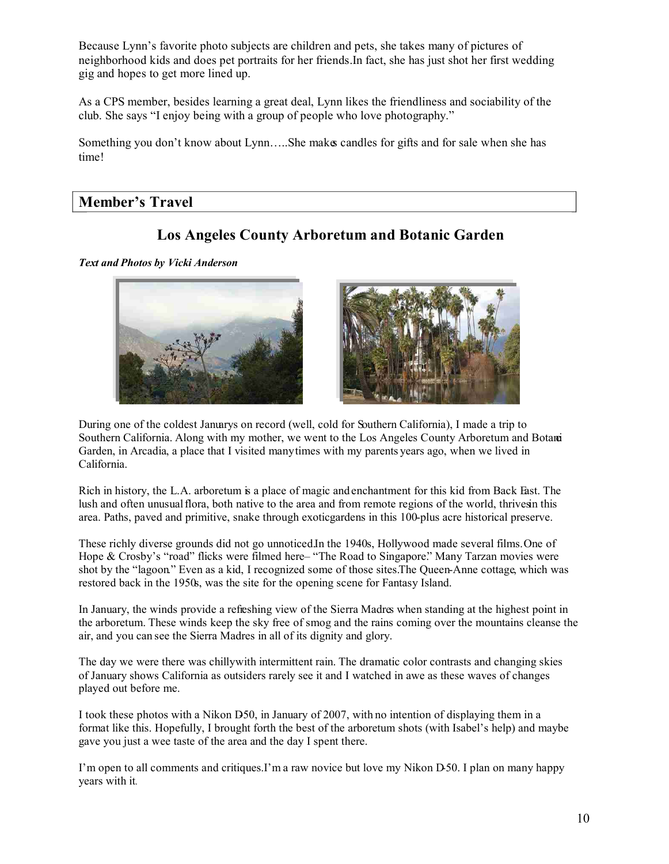Because Lynn's favorite photo subjects are children and pets, she takes many of pictures of neighborhood kids and does pet portraits for her friends.In fact, she has just shot her first wedding gig and hopes to get more lined up.

As a CPS member, besides learning a great deal, Lynn likes the friendliness and sociability of the club. She says "I enjoy being with a group of people who love photography."

Something you don't know about Lynn.....She makes candles for gifts and for sale when she has time!

#### **Member's Travel**

#### **Los Angeles County Arboretum and Botanic Garden**

*Text and Photos by Vicki Anderson*





During one of the coldest Januarys on record (well, cold for Southern California), I made a trip to Southern California. Along with my mother, we went to the Los Angeles County Arboretum and Botanci Garden, in Arcadia, a place that I visited many times with my parents years ago, when we lived in California.

Rich in history, the L.A. arboretum is a place of magic and enchantment for this kid from Back East. The lush and often unusual flora, both native to the area and from remote regions of the world, thrivesin this area. Paths, paved and primitive, snake through exoticgardens in this 100-plus acre historical preserve.

These richly diverse grounds did not go unnoticed.In the 1940s, Hollywood made several films.One of Hope & Crosby's "road" flicks were filmed here – "The Road to Singapore." Many Tarzan movies were shot by the "lagoon." Even as a kid, I recognized some of those sites.The Queen-Anne cottage, which was restored back in the 1950s, was the site for the opening scene for Fantasy Island.

In January, the winds provide a refreshing view of the Sierra Madres when standing at the highest point in the arboretum. These winds keep the sky free of smog and the rains coming over the mountains cleanse the air, and you can see the Sierra Madres in all of its dignity and glory.

The day we were there was chillywith intermittent rain. The dramatic color contrasts and changing skies of January shows California as outsiders rarely see it and I watched in awe as these waves of changes played out before me.

I took these photos with a Nikon D50, in January of 2007, with no intention of displaying them in a format like this. Hopefully, I brought forth the best of the arboretum shots (with Isabel's help) and maybe gave you just a wee taste of the area and the day I spent there.

I'm open to all comments and critiques.I'm a raw novice but love my Nikon D-50. I plan on many happy years with it.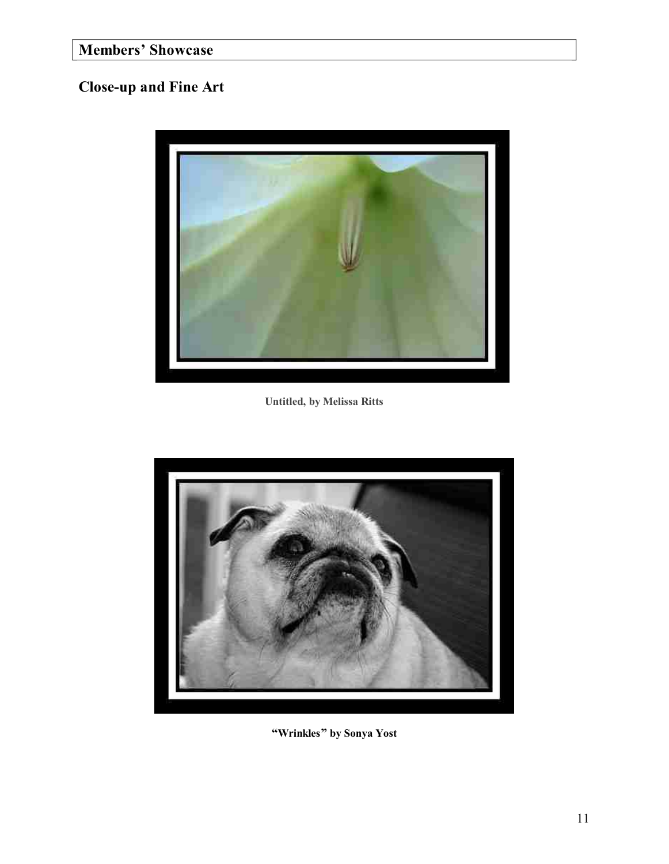# **Members' Showcase**

# **Close-up and Fine Art**



**Untitled, by Melissa Ritts**



**"Wrinkles" by Sonya Yost**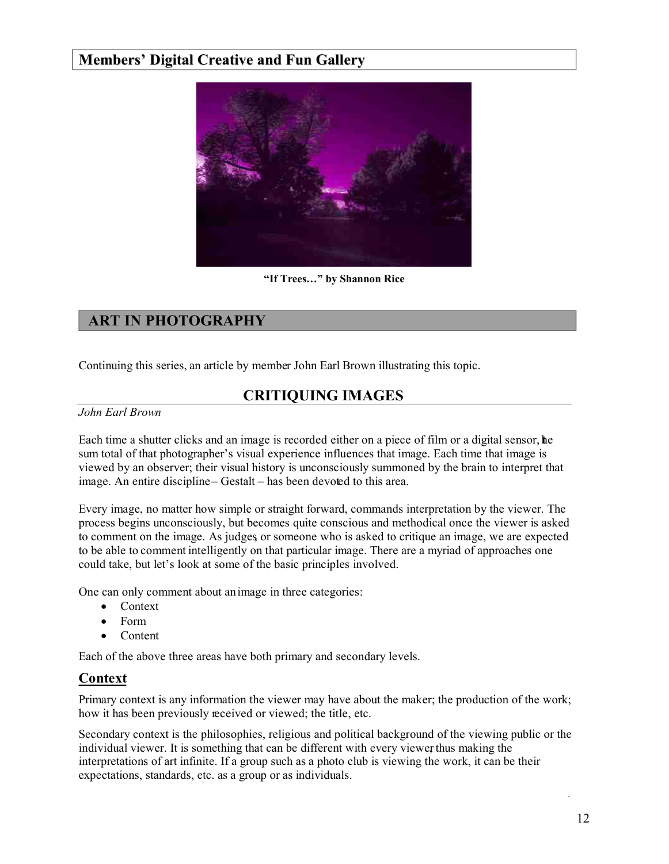#### **Members' Digital Creative and Fun Gallery**



**"If Trees…" by Shannon Rice**

### **ART IN PHOTOGRAPHY**

Continuing this series, an article by member John Earl Brown illustrating this topic.

# **CRITIQUING IMAGES**

#### *John Earl Brown*

Each time a shutter clicks and an image is recorded either on a piece of film or a digital sensor, he sum total of that photographer's visual experience influences that image. Each time that image is viewed by an observer; their visual history is unconsciously summoned by the brain to interpret that image. An entire discipline – Gestalt – has been devoted to this area.

Every image, no matter how simple or straight forward, commands interpretation by the viewer. The process begins unconsciously, but becomes quite conscious and methodical once the viewer is asked to comment on the image. As judges, or someone who is asked to critique an image, we are expected to be able to comment intelligently on that particular image. There are a myriad of approaches one could take, but let's look at some of the basic principles involved.

One can only comment about an image in three categories:

- Context
- Form
- Content

Each of the above three areas have both primary and secondary levels.

#### **Context**

Primary context is any information the viewer may have about the maker; the production of the work; how it has been previously received or viewed; the title, etc.

Secondary context is the philosophies, religious and political background of the viewing public or the individual viewer. It is something that can be different with every viewer thus making the interpretations of art infinite. If a group such as a photo club is viewing the work, it can be their expectations, standards, etc. as a group or as individuals.

.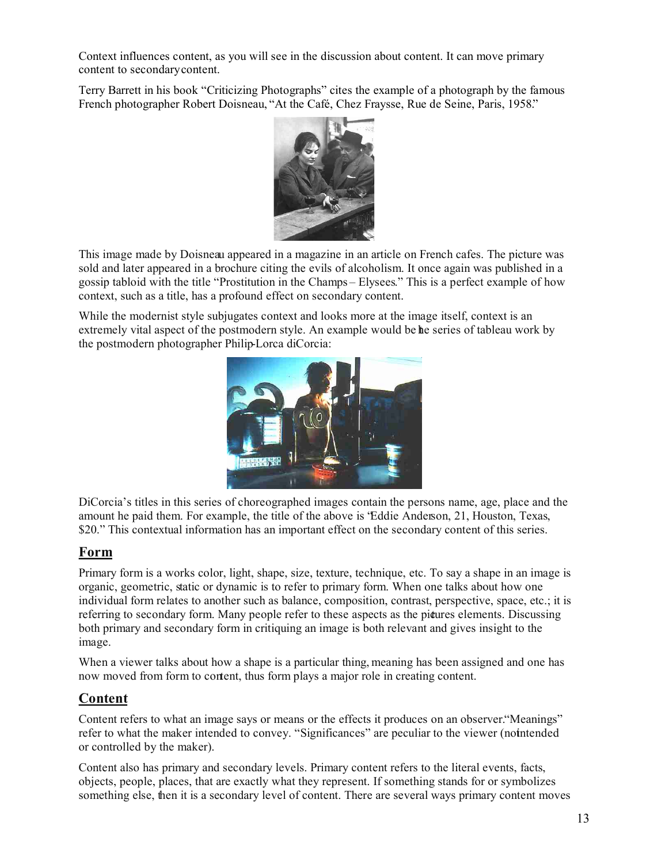Context influences content, as you will see in the discussion about content. It can move primary content to secondary content.

Terry Barrett in his book "Criticizing Photographs" cites the example of a photograph by the famous French photographer Robert Doisneau, "At the Café, Chez Fraysse, Rue de Seine, Paris, 1958."



This image made by Doisneau appeared in a magazine in an article on French cafes. The picture was sold and later appeared in a brochure citing the evils of alcoholism. It once again was published in a gossip tabloid with the title "Prostitution in the Champs – Elysees." This is a perfect example of how context, such as a title, has a profound effect on secondary content.

While the modernist style subjugates context and looks more at the image itself, context is an extremely vital aspect of the postmodern style. An example would be the series of tableau work by the postmodern photographer Philip-Lorca diCorcia:



DiCorcia's titles in this series of choreographed images contain the persons name, age, place and the amount he paid them. For example, the title of the above is "Eddie Anderson, 21, Houston, Texas, \$20." This contextual information has an important effect on the secondary content of this series.

#### **Form**

Primary form is a works color, light, shape, size, texture, technique, etc. To say a shape in an image is organic, geometric, static or dynamic is to refer to primary form. When one talks about how one individual form relates to another such as balance, composition, contrast, perspective, space, etc.; it is referring to secondary form. Many people refer to these aspects as the pictures elements. Discussing both primary and secondary form in critiquing an image is both relevant and gives insight to the image.

When a viewer talks about how a shape is a particular thing, meaning has been assigned and one has now moved from form to content, thus form plays a major role in creating content.

#### **Content**

Content refers to what an image says or means or the effects it produces on an observer. "Meanings" refer to what the maker intended to convey. "Significances" are peculiar to the viewer (not ntended or controlled by the maker).

Content also has primary and secondary levels. Primary content refers to the literal events, facts, objects, people, places, that are exactly what they represent. If something stands for or symbolizes something else, then it is a secondary level of content. There are several ways primary content moves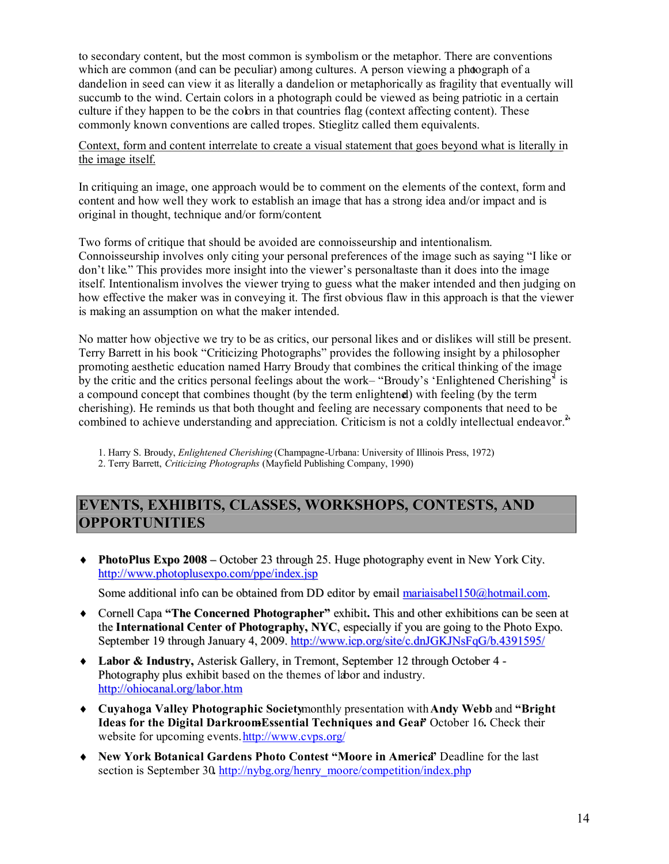to secondary content, but the most common is symbolism or the metaphor. There are conventions which are common (and can be peculiar) among cultures. A person viewing a photograph of a dandelion in seed can view it as literally a dandelion or metaphorically as fragility that eventually will succumb to the wind. Certain colors in a photograph could be viewed as being patriotic in a certain culture if they happen to be the colors in that countries flag (context affecting content). These commonly known conventions are called tropes. Stieglitz called them equivalents.

#### Context, form and content interrelate to create a visual statement that goes beyond what is literally in the image itself.

In critiquing an image, one approach would be to comment on the elements of the context, form and content and how well they work to establish an image that has a strong idea and/or impact and is original in thought, technique and/or form/content.

Two forms of critique that should be avoided are connoisseurship and intentionalism. Connoisseurship involves only citing your personal preferences of the image such as saying "I like or don't like." This provides more insight into the viewer's personal taste than it does into the image itself. Intentionalism involves the viewer trying to guess what the maker intended and then judging on how effective the maker was in conveying it. The first obvious flaw in this approach is that the viewer is making an assumption on what the maker intended.

No matter how objective we try to be as critics, our personal likes and or dislikes will still be present. Terry Barrett in his book "Criticizing Photographs" provides the following insight by a philosopher promoting aesthetic education named Harry Broudy that combines the critical thinking of the image by the critic and the critics personal feelings about the work– "Broudy's 'Enlightened Cherishing<sup> $\bar{j}$ </sup> is a compound concept that combines thought (by the term enlightened) with feeling (by the term cherishing). He reminds us that both thought and feeling are necessary components that need to be combined to achieve understanding and appreciation. Criticism is not a coldly intellectual endeavor.<sup>2</sup>

1. Harry S. Broudy, *Enlightened Cherishing* (Champagne-Urbana: University of Illinois Press, 1972)

2. Terry Barrett, *Criticizing Photographs* (Mayfield Publishing Company, 1990)

#### **EVENTS, EXHIBITS, CLASSES, WORKSHOPS, CONTESTS, AND OPPORTUNITIES**

 **PhotoPlus Expo 2008 –** October 23 through 25. Huge photography event in New York City. http://www.photoplusexpo.com/ppe/index.jsp

Some additional info can be obtained from DD editor by email mariaisabel150@hotmail.com.

- Cornell Capa **"The Concerned Photographer"** exhibit**.** This and other exhibitions can be seen at the **International Center of Photography, NYC**, especially if you are going to the Photo Expo. September 19 through January 4, 2009. http://www.icp.org/site/c.dnJGKJNsFqG/b.4391595/
- **Labor & Industry,** Asterisk Gallery, in Tremont, September 12 through October 4 Photography plus exhibit based on the themes of labor and industry. http://ohiocanal.org/labor.htm
- **Cuyahoga Valley Photographic Society**monthly presentation with**Andy Webb** and **"Bright Ideas for the Digital DarkroomEssential Techniques and Gear** October 16. Check their website for upcoming events.http://www.cvps.org/
- **New York Botanical Gardens Photo Contest "Moore in America"** Deadline for the last section is September 30. http://nybg.org/henry\_moore/competition/index.php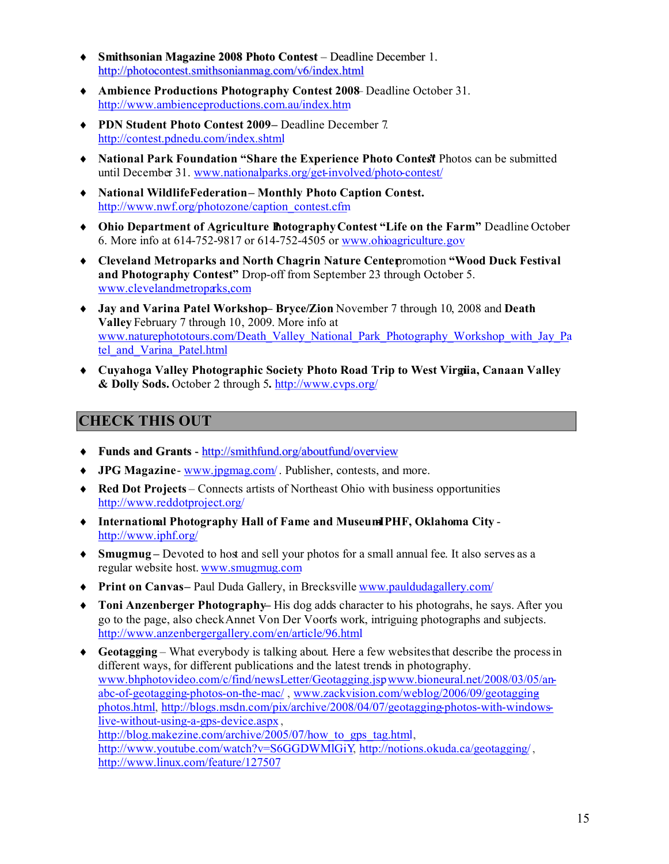- **Smithsonian Magazine 2008 Photo Contest** Deadline December 1. http://photocontest.smithsonianmag.com/v6/index.html
- **Ambience Productions Photography Contest 2008** Deadline October 31. http://www.ambienceproductions.com.au/index.htm
- **PDN Student Photo Contest 2009 –** Deadline December 7. http://contest.pdnedu.com/index.shtml
- **A** National Park Foundation "Share the Experience Photo Contest Photos can be submitted until December 31. www.nationalparks.org/get-involved/photo-contest/
- **National WildlifeFederation – Monthly Photo Caption Contest.** http://www.nwf.org/photozone/caption\_contest.cfm
- **Ohio Department of Agriculture PhotographyContest "Life on the Farm."** Deadline October 6. More info at 614-752-9817 or 614-752-4505 or www.ohioagriculture.gov
- **Cleveland Metroparks and North Chagrin Nature Center**promotion **"Wood Duck Festival and Photography Contest" Drop-off from September 23 through October 5.** www.clevelandmetroparks,com
- **Jay and Varina Patel Workshop – Bryce/Zion** November 7 through 10, 2008 and **Death Valley** February 7 through 10, 2009. More info at www.naturephototours.com/Death\_Valley\_National\_Park\_Photography\_Workshop\_with\_Jay\_Pa tel and Varina Patel.html
- **Cuyahoga Valley Photographic Society Photo Road Trip to West Virginia, Canaan Valley & Dolly Sods.** October 2 through 5**.** http://www.cvps.org/

#### **CHECK THIS OUT**

- **Funds and Grants** http://smithfund.org/aboutfund/overview
- **JPG Magazine** www.jpgmag.com/. Publisher, contests, and more.
- **Red Dot Projects** Connects artists of Northeast Ohio with business opportunities http://www.reddotproject.org/
- **International Photography Hall of Fame and Museum-IPHF, Oklahoma City** http://www.iphf.org/
- **Smugmug –** Devoted to host and sell your photos for a small annual fee. It also serves as a regular website host. www.smugmug.com
- **Print on Canvas** Paul Duda Gallery, in Brecksville www.pauldudagallery.com/
- ◆ **Toni Anzenberger Photography** His dog adds character to his photograhs, he says. After you go to the page, also checkAnnet Von Der Voort's work, intriguing photographs and subjects. http://www.anzenbergergallery.com/en/article/96.html
- **Geotagging** What everybody is talking about. Here a few websites that describe the processin different ways, for different publications and the latest trends in photography. www.bhphotovideo.com/c/find/newsLetter/Geotagging.jsp, www.bioneural.net/2008/03/05/anabc-of-geotagging-photos-on-the-mac/ , www.zackvision.com/weblog/2006/09/geotaggingphotos.html, http://blogs.msdn.com/pix/archive/2008/04/07/geotagging-photos-with-windowslive-without-using-a-gps-device.aspx , http://blog.makezine.com/archive/2005/07/how to gps tag.html, http://www.youtube.com/watch?v=S6GGDWMIGiY, http://notions.okuda.ca/geotagging/, http://www.linux.com/feature/127507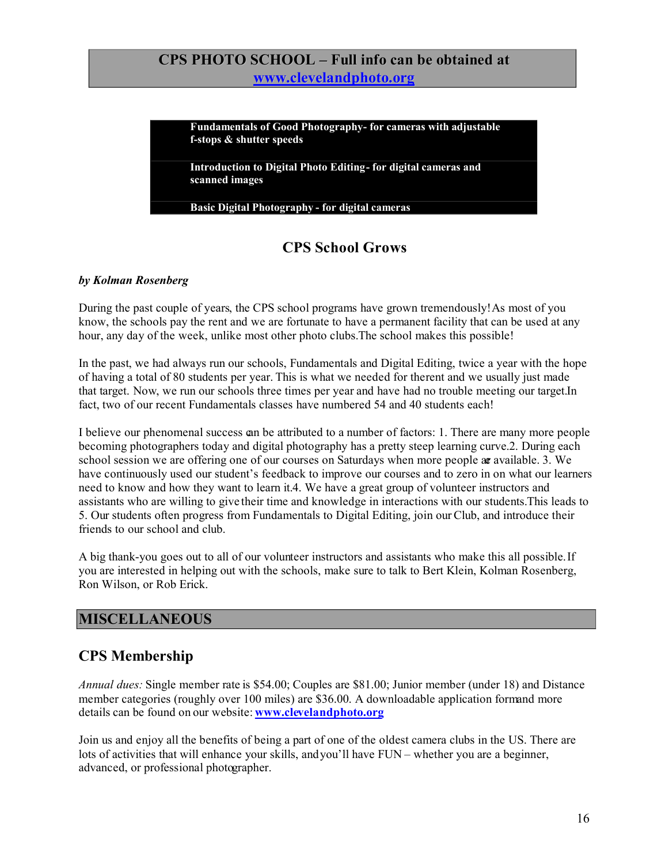### **CPS PHOTO SCHOOL – Full info can be obtained at www.clevelandphoto.org**

**Fundamentals of Good Photography - for cameras with adjustable f-stops & shutter speeds**

**Introduction to Digital Photo Editing - for digital cameras and scanned images**

**Basic Digital Photography - for digital cameras**

# **CPS School Grows**

#### *by Kolman Rosenberg*

During the past couple of years, the CPS school programs have grown tremendously!As most of you know, the schools pay the rent and we are fortunate to have a permanent facility that can be used at any hour, any day of the week, unlike most other photo clubs.The school makes this possible!

In the past, we had always run our schools, Fundamentals and Digital Editing, twice a year with the hope of having a total of 80 students per year. This is what we needed for the rent and we usually just made that target. Now, we run our schools three times per year and have had no trouble meeting our target.In fact, two of our recent Fundamentals classes have numbered 54 and 40 students each!

I believe our phenomenal success can be attributed to a number of factors: 1. There are many more people becoming photographers today and digital photography has a pretty steep learning curve.2. During each school session we are offering one of our courses on Saturdays when more people are available. 3. We have continuously used our student's feedback to improve our courses and to zero in on what our learners need to know and how they want to learn it.4. We have a great group of volunteer instructors and assistants who are willing to give their time and knowledge in interactions with our students.This leads to 5. Our students often progress from Fundamentals to Digital Editing, join our Club, and introduce their friends to our school and club.

A big thank-you goes out to all of our volunteer instructors and assistants who make this all possible.If you are interested in helping out with the schools, make sure to talk to Bert Klein, Kolman Rosenberg, Ron Wilson, or Rob Erick.

#### **MISCELLANEOUS**

# **CPS Membership**

*Annual dues:* Single member rate is \$54.00; Couples are \$81.00; Junior member (under 18) and Distance member categories (roughly over 100 miles) are \$36.00. A downloadable application formand more details can be found on our website: **www.clevelandphoto.org**

Join us and enjoy all the benefits of being a part of one of the oldest camera clubs in the US. There are lots of activities that will enhance your skills, andyou'll have FUN – whether you are a beginner, advanced, or professional photographer.